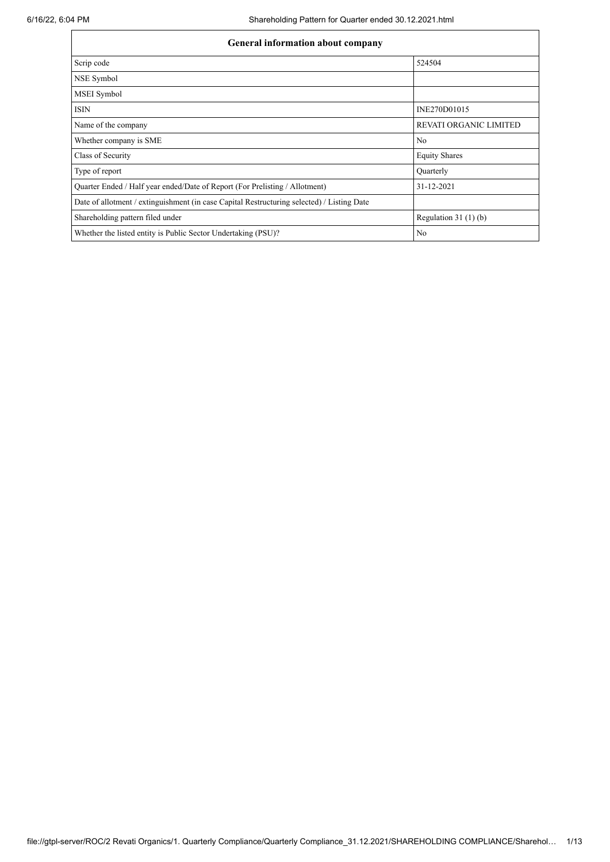| General information about company                                                          |                               |  |  |  |  |  |  |
|--------------------------------------------------------------------------------------------|-------------------------------|--|--|--|--|--|--|
| Scrip code                                                                                 | 524504                        |  |  |  |  |  |  |
| NSE Symbol                                                                                 |                               |  |  |  |  |  |  |
| MSEI Symbol                                                                                |                               |  |  |  |  |  |  |
| <b>ISIN</b>                                                                                | INE270D01015                  |  |  |  |  |  |  |
| Name of the company                                                                        | <b>REVATI ORGANIC LIMITED</b> |  |  |  |  |  |  |
| Whether company is SME                                                                     | No                            |  |  |  |  |  |  |
| Class of Security                                                                          | <b>Equity Shares</b>          |  |  |  |  |  |  |
| Type of report                                                                             | Ouarterly                     |  |  |  |  |  |  |
| Quarter Ended / Half year ended/Date of Report (For Prelisting / Allotment)                | 31-12-2021                    |  |  |  |  |  |  |
| Date of allotment / extinguishment (in case Capital Restructuring selected) / Listing Date |                               |  |  |  |  |  |  |
| Shareholding pattern filed under                                                           | Regulation $31(1)(b)$         |  |  |  |  |  |  |
| Whether the listed entity is Public Sector Undertaking (PSU)?                              | No                            |  |  |  |  |  |  |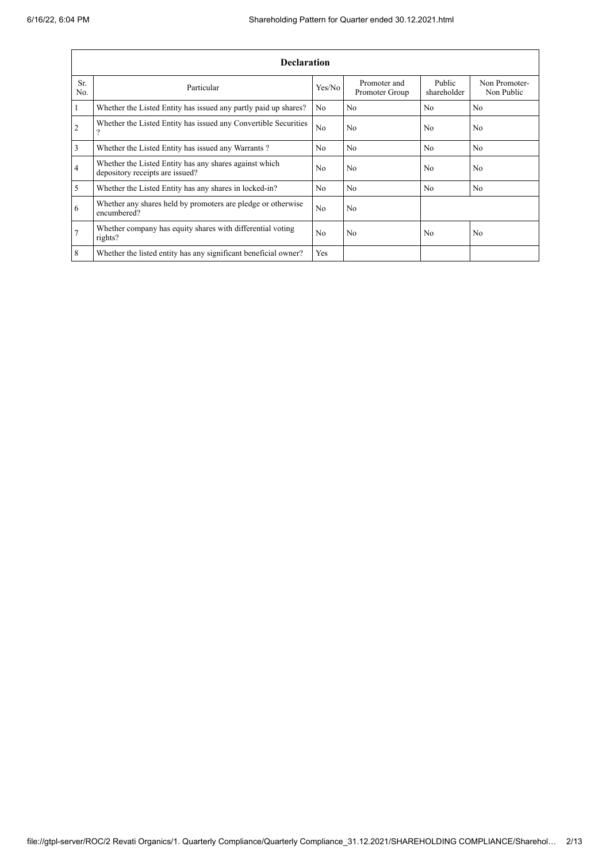|                | <b>Declaration</b>                                                                        |                |                                |                       |                             |  |  |
|----------------|-------------------------------------------------------------------------------------------|----------------|--------------------------------|-----------------------|-----------------------------|--|--|
| Sr.<br>No.     | Particular                                                                                | Yes/No         | Promoter and<br>Promoter Group | Public<br>shareholder | Non Promoter-<br>Non Public |  |  |
| 1              | Whether the Listed Entity has issued any partly paid up shares?                           | N <sub>0</sub> | No                             | N <sub>0</sub>        | N <sub>0</sub>              |  |  |
| $\overline{2}$ | Whether the Listed Entity has issued any Convertible Securities<br>$\mathcal{P}$          | N <sub>o</sub> | N <sub>o</sub>                 | No                    | No                          |  |  |
| 3              | Whether the Listed Entity has issued any Warrants?                                        | N <sub>0</sub> | N <sub>0</sub>                 | No                    | N <sub>0</sub>              |  |  |
| $\overline{4}$ | Whether the Listed Entity has any shares against which<br>depository receipts are issued? | N <sub>0</sub> | N <sub>0</sub>                 | N <sub>0</sub>        | N <sub>0</sub>              |  |  |
| 5              | Whether the Listed Entity has any shares in locked-in?                                    | N <sub>o</sub> | N <sub>o</sub>                 | No                    | No                          |  |  |
| 6              | Whether any shares held by promoters are pledge or otherwise<br>encumbered?               | No             | No                             |                       |                             |  |  |
| $\overline{7}$ | Whether company has equity shares with differential voting<br>rights?                     | N <sub>0</sub> | N <sub>0</sub>                 | N <sub>0</sub>        | N <sub>0</sub>              |  |  |
| 8              | Whether the listed entity has any significant beneficial owner?                           | Yes            |                                |                       |                             |  |  |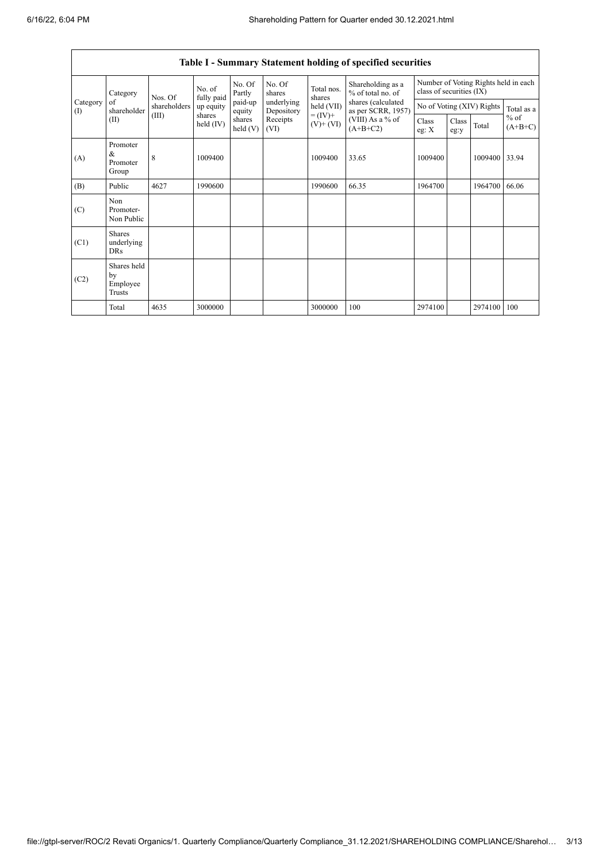$\mathsf{r}$ 

|                                        | Table I - Summary Statement holding of specified securities |                                 |                     |                   |                          |                                                                    |                                                                                                                      |                                                                  |               |                           |                     |
|----------------------------------------|-------------------------------------------------------------|---------------------------------|---------------------|-------------------|--------------------------|--------------------------------------------------------------------|----------------------------------------------------------------------------------------------------------------------|------------------------------------------------------------------|---------------|---------------------------|---------------------|
|                                        | Category                                                    | No. of<br>fully paid<br>Nos. Of |                     | No. Of<br>Partly  | No. Of<br>shares         | Total nos.<br>shares<br>held (VII)<br>$= (IV) +$<br>$(V)$ + $(VI)$ | Shareholding as a<br>% of total no. of<br>shares (calculated<br>as per SCRR, 1957)<br>(VIII) As a % of<br>$(A+B+C2)$ | Number of Voting Rights held in each<br>class of securities (IX) |               |                           |                     |
| Category<br>$\left( \mathrm{I}\right)$ | of<br>shareholder                                           | shareholders                    | up equity<br>shares | paid-up<br>equity | underlying<br>Depository |                                                                    |                                                                                                                      |                                                                  |               | No of Voting (XIV) Rights | Total as a          |
|                                        | (II)                                                        | (III)                           | held $(IV)$         | shares<br>held(V) | Receipts<br>(VI)         |                                                                    |                                                                                                                      | Class<br>eg: $X$                                                 | Class<br>eg:y | Total                     | $%$ of<br>$(A+B+C)$ |
| (A)                                    | Promoter<br>&<br>Promoter<br>Group                          | 8                               | 1009400             |                   |                          | 1009400                                                            | 33.65                                                                                                                | 1009400                                                          |               | 1009400 33.94             |                     |
| (B)                                    | Public                                                      | 4627                            | 1990600             |                   |                          | 1990600                                                            | 66.35                                                                                                                | 1964700                                                          |               | 1964700                   | 66.06               |
| (C)                                    | Non<br>Promoter-<br>Non Public                              |                                 |                     |                   |                          |                                                                    |                                                                                                                      |                                                                  |               |                           |                     |
| (C1)                                   | Shares<br>underlying<br><b>DRs</b>                          |                                 |                     |                   |                          |                                                                    |                                                                                                                      |                                                                  |               |                           |                     |
| (C2)                                   | Shares held<br>by<br>Employee<br>Trusts                     |                                 |                     |                   |                          |                                                                    |                                                                                                                      |                                                                  |               |                           |                     |
|                                        | Total                                                       | 4635                            | 3000000             |                   |                          | 3000000                                                            | 100                                                                                                                  | 2974100                                                          |               | 2974100                   | 100                 |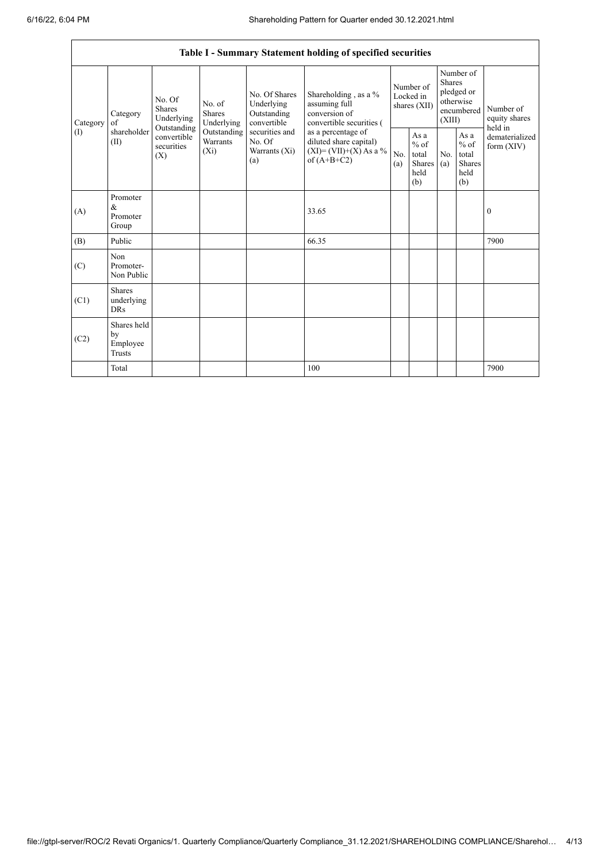|                 |                                                                                        |                           |                                                                             |                                                                                                                  | Table I - Summary Statement holding of specified securities                                                                                                                          |                                        |                                                         |                                                                               |                                                         |                                       |
|-----------------|----------------------------------------------------------------------------------------|---------------------------|-----------------------------------------------------------------------------|------------------------------------------------------------------------------------------------------------------|--------------------------------------------------------------------------------------------------------------------------------------------------------------------------------------|----------------------------------------|---------------------------------------------------------|-------------------------------------------------------------------------------|---------------------------------------------------------|---------------------------------------|
| Category<br>(1) | No. Of<br><b>Shares</b><br>Category<br>of<br>Outstanding<br>shareholder<br>(II)<br>(X) | Underlying                | No. of<br><b>Shares</b><br>Underlying<br>Outstanding<br>Warrants<br>$(X_i)$ | No. Of Shares<br>Underlying<br>Outstanding<br>convertible<br>securities and<br>No. Of<br>Warrants $(X_i)$<br>(a) | Shareholding , as a $\%$<br>assuming full<br>conversion of<br>convertible securities (<br>as a percentage of<br>diluted share capital)<br>$(XI) = (VII)+(X) As a %$<br>of $(A+B+C2)$ | Number of<br>Locked in<br>shares (XII) |                                                         | Number of<br><b>Shares</b><br>pledged or<br>otherwise<br>encumbered<br>(XIII) |                                                         | Number of<br>equity shares<br>held in |
|                 |                                                                                        | convertible<br>securities |                                                                             |                                                                                                                  |                                                                                                                                                                                      | No.<br>(a)                             | As a<br>$%$ of<br>total<br><b>Shares</b><br>held<br>(b) | No.<br>(a)                                                                    | As a<br>$%$ of<br>total<br><b>Shares</b><br>held<br>(b) | dematerialized<br>form $(XIV)$        |
| (A)             | Promoter<br>$\&$<br>Promoter<br>Group                                                  |                           |                                                                             |                                                                                                                  | 33.65                                                                                                                                                                                |                                        |                                                         |                                                                               |                                                         | $\mathbf{0}$                          |
| (B)             | Public                                                                                 |                           |                                                                             |                                                                                                                  | 66.35                                                                                                                                                                                |                                        |                                                         |                                                                               |                                                         | 7900                                  |
| (C)             | Non<br>Promoter-<br>Non Public                                                         |                           |                                                                             |                                                                                                                  |                                                                                                                                                                                      |                                        |                                                         |                                                                               |                                                         |                                       |
| (C1)            | <b>Shares</b><br>underlying<br><b>DRs</b>                                              |                           |                                                                             |                                                                                                                  |                                                                                                                                                                                      |                                        |                                                         |                                                                               |                                                         |                                       |
| (C2)            | Shares held<br>by<br>Employee<br><b>Trusts</b>                                         |                           |                                                                             |                                                                                                                  |                                                                                                                                                                                      |                                        |                                                         |                                                                               |                                                         |                                       |
|                 | Total                                                                                  |                           |                                                                             |                                                                                                                  | 100                                                                                                                                                                                  |                                        |                                                         |                                                                               |                                                         | 7900                                  |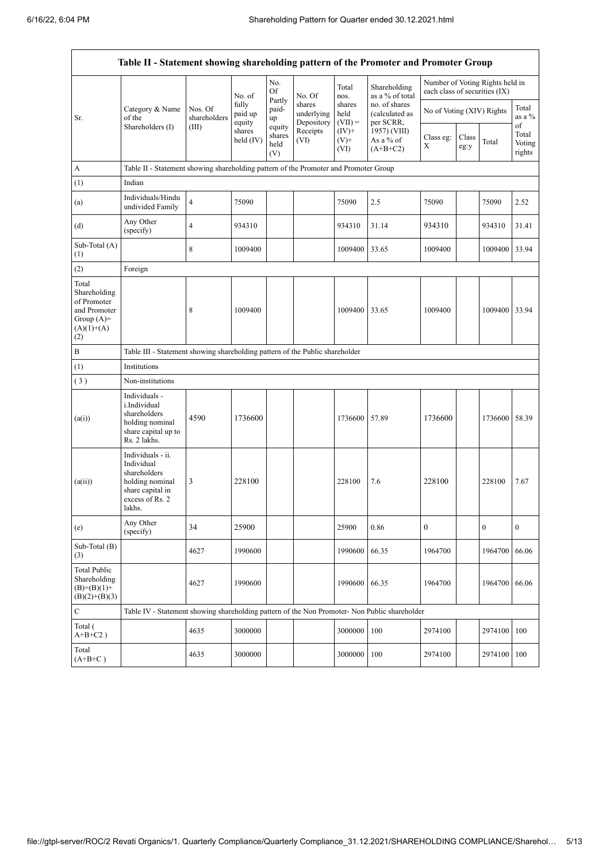|                                                                                             | Table II - Statement showing shareholding pattern of the Promoter and Promoter Group                                |                                                                              |                            |                                 |                                    |                             |                                              |                               |               |                                 |                           |
|---------------------------------------------------------------------------------------------|---------------------------------------------------------------------------------------------------------------------|------------------------------------------------------------------------------|----------------------------|---------------------------------|------------------------------------|-----------------------------|----------------------------------------------|-------------------------------|---------------|---------------------------------|---------------------------|
|                                                                                             |                                                                                                                     |                                                                              | No. of                     | No.<br>Of                       | No. Of                             | Total<br>nos.               | Shareholding<br>as a % of total              | each class of securities (IX) |               | Number of Voting Rights held in |                           |
| Sr.                                                                                         | Category & Name<br>of the<br>Shareholders (I)                                                                       | Nos. Of<br>shareholders<br>(III)                                             | fully<br>paid up<br>equity | Partly<br>paid-<br>up<br>equity | shares<br>underlying<br>Depository | shares<br>held<br>$(VII) =$ | no. of shares<br>(calculated as<br>per SCRR, | No of Voting (XIV) Rights     |               |                                 | Total<br>as a %<br>of     |
|                                                                                             |                                                                                                                     |                                                                              | shares<br>held $(IV)$      | shares<br>held<br>(V)           | Receipts<br>(VI)                   | $(IV)+$<br>$(V)^+$<br>(VI)  | 1957) (VIII)<br>As a % of<br>$(A+B+C2)$      | Class eg:<br>X                | Class<br>eg:y | Total                           | Total<br>Voting<br>rights |
| А                                                                                           | Table II - Statement showing shareholding pattern of the Promoter and Promoter Group                                |                                                                              |                            |                                 |                                    |                             |                                              |                               |               |                                 |                           |
| (1)                                                                                         | Indian                                                                                                              |                                                                              |                            |                                 |                                    |                             |                                              |                               |               |                                 |                           |
| (a)                                                                                         | Individuals/Hindu<br>undivided Family                                                                               | $\overline{4}$                                                               | 75090                      |                                 |                                    | 75090                       | 2.5                                          | 75090                         |               | 75090                           | 2.52                      |
| (d)                                                                                         | Any Other<br>(specify)                                                                                              | $\overline{4}$                                                               | 934310                     |                                 |                                    | 934310                      | 31.14                                        | 934310                        |               | 934310                          | 31.41                     |
| Sub-Total (A)<br>(1)                                                                        |                                                                                                                     | 8                                                                            | 1009400                    |                                 |                                    | 1009400                     | 33.65                                        | 1009400                       |               | 1009400                         | 33.94                     |
| (2)                                                                                         | Foreign                                                                                                             |                                                                              |                            |                                 |                                    |                             |                                              |                               |               |                                 |                           |
| Total<br>Shareholding<br>of Promoter<br>and Promoter<br>Group $(A)=$<br>$(A)(1)+(A)$<br>(2) |                                                                                                                     | 8                                                                            | 1009400                    |                                 |                                    | 1009400                     | 33.65                                        | 1009400                       |               | 1009400                         | 33.94                     |
| B                                                                                           |                                                                                                                     | Table III - Statement showing shareholding pattern of the Public shareholder |                            |                                 |                                    |                             |                                              |                               |               |                                 |                           |
| (1)                                                                                         | Institutions                                                                                                        |                                                                              |                            |                                 |                                    |                             |                                              |                               |               |                                 |                           |
| (3)                                                                                         | Non-institutions                                                                                                    |                                                                              |                            |                                 |                                    |                             |                                              |                               |               |                                 |                           |
| (a(i))                                                                                      | Individuals -<br>i.Individual<br>shareholders<br>holding nominal<br>share capital up to<br>Rs. 2 lakhs.             | 4590                                                                         | 1736600                    |                                 |                                    | 1736600                     | 57.89                                        | 1736600                       |               | 1736600                         | 58.39                     |
| (a(ii))                                                                                     | Individuals - ii.<br>Individual<br>shareholders<br>holding nominal<br>share capital in<br>excess of Rs. 2<br>lakhs. | 3                                                                            | 228100                     |                                 |                                    | 228100                      | 7.6                                          | 228100                        |               | 228100                          | 7.67                      |
| (e)                                                                                         | Any Other<br>(specify)                                                                                              | 34                                                                           | 25900                      |                                 |                                    | 25900                       | 0.86                                         | $\boldsymbol{0}$              |               | $\mathbf{0}$                    | $\mathbf{0}$              |
| Sub-Total (B)<br>(3)                                                                        |                                                                                                                     | 4627                                                                         | 1990600                    |                                 |                                    | 1990600                     | 66.35                                        | 1964700                       |               | 1964700                         | 66.06                     |
| <b>Total Public</b><br>Shareholding<br>$(B)=(B)(1)+$<br>$(B)(2)+(B)(3)$                     |                                                                                                                     | 4627                                                                         | 1990600                    |                                 |                                    | 1990600                     | 66.35                                        | 1964700                       |               | 1964700                         | 66.06                     |
| C                                                                                           | Table IV - Statement showing shareholding pattern of the Non Promoter- Non Public shareholder                       |                                                                              |                            |                                 |                                    |                             |                                              |                               |               |                                 |                           |
| Total (<br>$A+B+C2$ )                                                                       |                                                                                                                     | 4635                                                                         | 3000000                    |                                 |                                    | 3000000                     | 100                                          | 2974100                       |               | 2974100                         | 100                       |
| Total<br>$(A+B+C)$                                                                          |                                                                                                                     | 4635                                                                         | 3000000                    |                                 |                                    | 3000000                     | 100                                          | 2974100                       |               | 2974100                         | 100                       |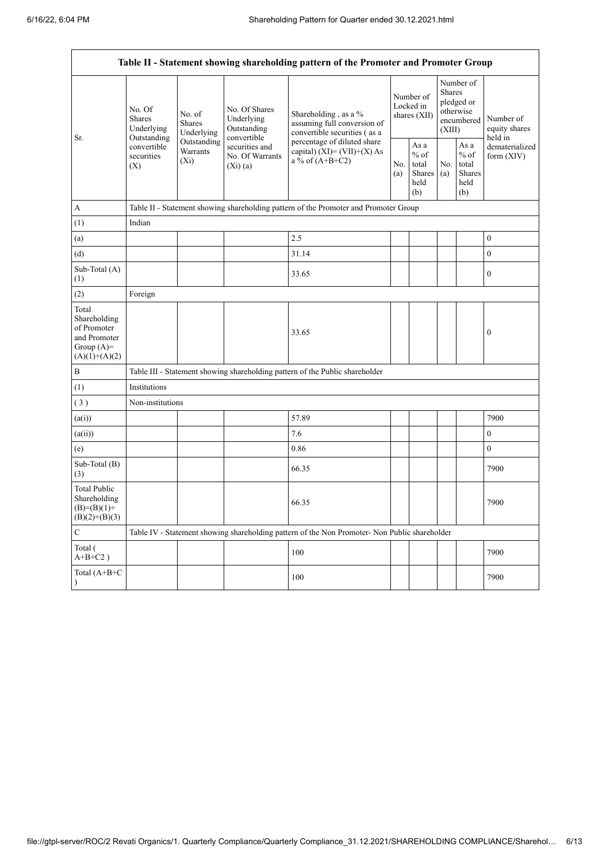$\mathbf{r}$ 

|                                                                                         | Table II - Statement showing shareholding pattern of the Promoter and Promoter Group                |                                       |                                                           |                                                                                                                                                                           |  |                                                  |            |                                                                        |                                       |
|-----------------------------------------------------------------------------------------|-----------------------------------------------------------------------------------------------------|---------------------------------------|-----------------------------------------------------------|---------------------------------------------------------------------------------------------------------------------------------------------------------------------------|--|--------------------------------------------------|------------|------------------------------------------------------------------------|---------------------------------------|
| Sr.                                                                                     | No. Of<br><b>Shares</b><br>Underlying<br>Outstanding<br>convertible<br>securities<br>$(X_i)$<br>(X) | No. of<br><b>Shares</b><br>Underlying | No. Of Shares<br>Underlying<br>Outstanding<br>convertible | Shareholding, as a %<br>assuming full conversion of<br>convertible securities (as a<br>percentage of diluted share<br>capital) $(XI) = (VII)+(X) As$<br>a % of $(A+B+C2)$ |  | Number of<br>Locked in<br>shares (XII)           |            | Number of<br>Shares<br>pledged or<br>otherwise<br>encumbered<br>(XIII) | Number of<br>equity shares<br>held in |
|                                                                                         |                                                                                                     | Outstanding<br>Warrants               | securities and<br>No. Of Warrants<br>(Xi)(a)              |                                                                                                                                                                           |  | As a<br>$%$ of<br>total<br>Shares<br>held<br>(b) | No.<br>(a) | As a<br>$\%$ of<br>total<br><b>Shares</b><br>held<br>(b)               | dematerialized<br>form $(XIV)$        |
| А                                                                                       |                                                                                                     |                                       |                                                           | Table II - Statement showing shareholding pattern of the Promoter and Promoter Group                                                                                      |  |                                                  |            |                                                                        |                                       |
| (1)                                                                                     | Indian                                                                                              |                                       |                                                           |                                                                                                                                                                           |  |                                                  |            |                                                                        |                                       |
| (a)                                                                                     |                                                                                                     |                                       |                                                           | 2.5                                                                                                                                                                       |  |                                                  |            |                                                                        | $\boldsymbol{0}$                      |
| (d)                                                                                     |                                                                                                     |                                       |                                                           | 31.14                                                                                                                                                                     |  |                                                  |            |                                                                        | $\boldsymbol{0}$                      |
| Sub-Total (A)<br>(1)                                                                    |                                                                                                     |                                       |                                                           | 33.65                                                                                                                                                                     |  |                                                  |            |                                                                        | $\boldsymbol{0}$                      |
| (2)                                                                                     | Foreign                                                                                             |                                       |                                                           |                                                                                                                                                                           |  |                                                  |            |                                                                        |                                       |
| Total<br>Shareholding<br>of Promoter<br>and Promoter<br>Group $(A)=$<br>$(A)(1)+(A)(2)$ |                                                                                                     |                                       |                                                           | 33.65                                                                                                                                                                     |  |                                                  |            |                                                                        | $\boldsymbol{0}$                      |
| $\, {\bf B}$                                                                            |                                                                                                     |                                       |                                                           | Table III - Statement showing shareholding pattern of the Public shareholder                                                                                              |  |                                                  |            |                                                                        |                                       |
| (1)                                                                                     | Institutions                                                                                        |                                       |                                                           |                                                                                                                                                                           |  |                                                  |            |                                                                        |                                       |
| (3)                                                                                     | Non-institutions                                                                                    |                                       |                                                           |                                                                                                                                                                           |  |                                                  |            |                                                                        |                                       |
| (a(i))                                                                                  |                                                                                                     |                                       |                                                           | 57.89                                                                                                                                                                     |  |                                                  |            |                                                                        | 7900                                  |
| (a(ii))                                                                                 |                                                                                                     |                                       |                                                           | 7.6                                                                                                                                                                       |  |                                                  |            |                                                                        | $\boldsymbol{0}$                      |
| (e)                                                                                     |                                                                                                     |                                       |                                                           | 0.86                                                                                                                                                                      |  |                                                  |            |                                                                        | $\boldsymbol{0}$                      |
| Sub-Total (B)<br>(3)                                                                    |                                                                                                     |                                       |                                                           | 66.35                                                                                                                                                                     |  |                                                  |            |                                                                        | 7900                                  |
| <b>Total Public</b><br>Shareholding<br>$(B)=(B)(1)+$<br>$(B)(2)+(B)(3)$                 |                                                                                                     |                                       |                                                           | 66.35                                                                                                                                                                     |  |                                                  |            |                                                                        | 7900                                  |
| $\mathbf C$                                                                             |                                                                                                     |                                       |                                                           | Table IV - Statement showing shareholding pattern of the Non Promoter- Non Public shareholder                                                                             |  |                                                  |            |                                                                        |                                       |
| Total (<br>$A+B+C2$ )                                                                   |                                                                                                     |                                       |                                                           | 100                                                                                                                                                                       |  |                                                  |            |                                                                        | 7900                                  |
| Total (A+B+C                                                                            |                                                                                                     |                                       |                                                           | 100                                                                                                                                                                       |  |                                                  |            |                                                                        | 7900                                  |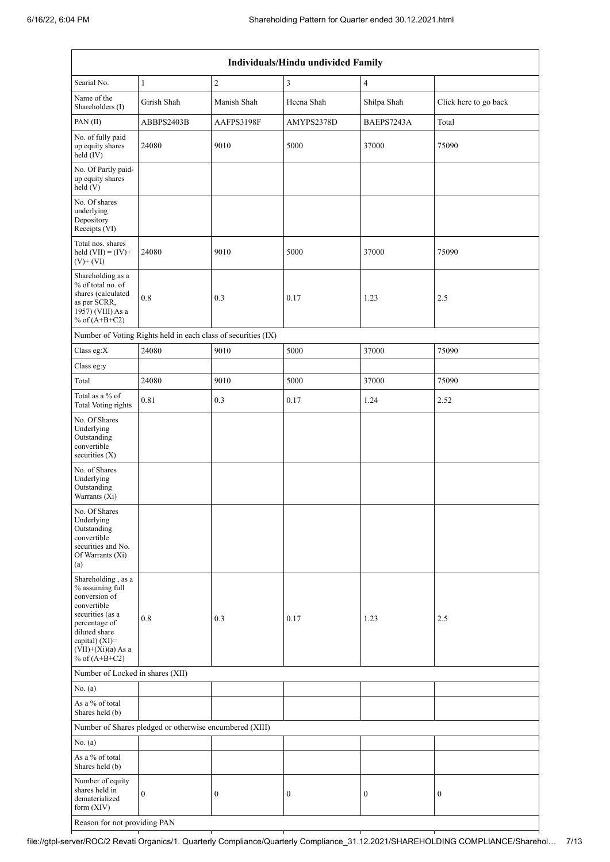| Individuals/Hindu undivided Family                                                                                                                                                       |                                                               |                  |                  |                  |                       |  |  |  |
|------------------------------------------------------------------------------------------------------------------------------------------------------------------------------------------|---------------------------------------------------------------|------------------|------------------|------------------|-----------------------|--|--|--|
| Searial No.                                                                                                                                                                              | $\,1$                                                         | $\sqrt{2}$       | $\overline{3}$   | 4                |                       |  |  |  |
| Name of the<br>Shareholders (I)                                                                                                                                                          | Girish Shah                                                   | Manish Shah      | Heena Shah       | Shilpa Shah      | Click here to go back |  |  |  |
| PAN(II)                                                                                                                                                                                  | ABBPS2403B                                                    | AAFPS3198F       | AMYPS2378D       | BAEPS7243A       | Total                 |  |  |  |
| No. of fully paid<br>up equity shares<br>held (IV)                                                                                                                                       | 24080                                                         | 9010             | 5000             | 37000            | 75090                 |  |  |  |
| No. Of Partly paid-<br>up equity shares<br>held(V)                                                                                                                                       |                                                               |                  |                  |                  |                       |  |  |  |
| No. Of shares<br>underlying<br>Depository<br>Receipts (VI)                                                                                                                               |                                                               |                  |                  |                  |                       |  |  |  |
| Total nos. shares<br>held $(VII) = (IV) +$<br>$(V)$ + $(VI)$                                                                                                                             | 24080                                                         | 9010             | 5000             | 37000            | 75090                 |  |  |  |
| Shareholding as a<br>% of total no. of<br>shares (calculated<br>as per SCRR,<br>1957) (VIII) As a<br>% of $(A+B+C2)$                                                                     | $0.8\,$                                                       | 0.3              | 0.17             | 1.23             | 2.5                   |  |  |  |
|                                                                                                                                                                                          | Number of Voting Rights held in each class of securities (IX) |                  |                  |                  |                       |  |  |  |
| Class eg:X                                                                                                                                                                               | 24080                                                         | 9010             | 5000             | 37000            | 75090                 |  |  |  |
| Class eg:y                                                                                                                                                                               |                                                               |                  |                  |                  |                       |  |  |  |
| Total                                                                                                                                                                                    | 24080                                                         | 9010             | 5000             | 37000            | 75090                 |  |  |  |
| Total as a % of<br><b>Total Voting rights</b>                                                                                                                                            | 0.81                                                          | 0.3              | 0.17             | 1.24             | 2.52                  |  |  |  |
| No. Of Shares<br>Underlying<br>Outstanding<br>convertible<br>securities (X)                                                                                                              |                                                               |                  |                  |                  |                       |  |  |  |
| No. of Shares<br>Underlying<br>Outstanding<br>Warrants (Xi)                                                                                                                              |                                                               |                  |                  |                  |                       |  |  |  |
| No. Of Shares<br>Underlying<br>Outstanding<br>convertible<br>securities and No.<br>Of Warrants (Xi)<br>(a)                                                                               |                                                               |                  |                  |                  |                       |  |  |  |
| Shareholding, as a<br>% assuming full<br>conversion of<br>convertible<br>securities (as a<br>percentage of<br>diluted share<br>capital) (XI)=<br>$(VII)+(Xi)(a)$ As a<br>% of $(A+B+C2)$ | $\rm 0.8$                                                     | 0.3              | 0.17             | 1.23             | 2.5                   |  |  |  |
| Number of Locked in shares (XII)                                                                                                                                                         |                                                               |                  |                  |                  |                       |  |  |  |
| No. (a)                                                                                                                                                                                  |                                                               |                  |                  |                  |                       |  |  |  |
| As a % of total<br>Shares held (b)                                                                                                                                                       |                                                               |                  |                  |                  |                       |  |  |  |
|                                                                                                                                                                                          | Number of Shares pledged or otherwise encumbered (XIII)       |                  |                  |                  |                       |  |  |  |
| No. (a)                                                                                                                                                                                  |                                                               |                  |                  |                  |                       |  |  |  |
| As a % of total<br>Shares held (b)                                                                                                                                                       |                                                               |                  |                  |                  |                       |  |  |  |
| Number of equity<br>shares held in<br>dematerialized<br>form (XIV)                                                                                                                       | $\boldsymbol{0}$                                              | $\boldsymbol{0}$ | $\boldsymbol{0}$ | $\boldsymbol{0}$ | $\boldsymbol{0}$      |  |  |  |
| Reason for not providing PAN                                                                                                                                                             |                                                               |                  |                  |                  |                       |  |  |  |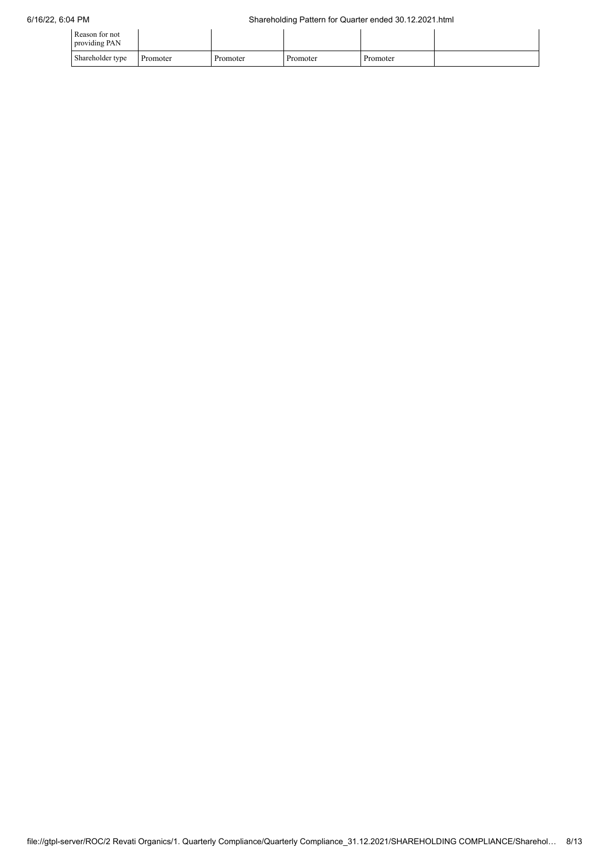| Reason for not<br>providing PAN |          |          |          |          |  |
|---------------------------------|----------|----------|----------|----------|--|
| Shareholder type                | Promoter | Promoter | Promoter | Promoter |  |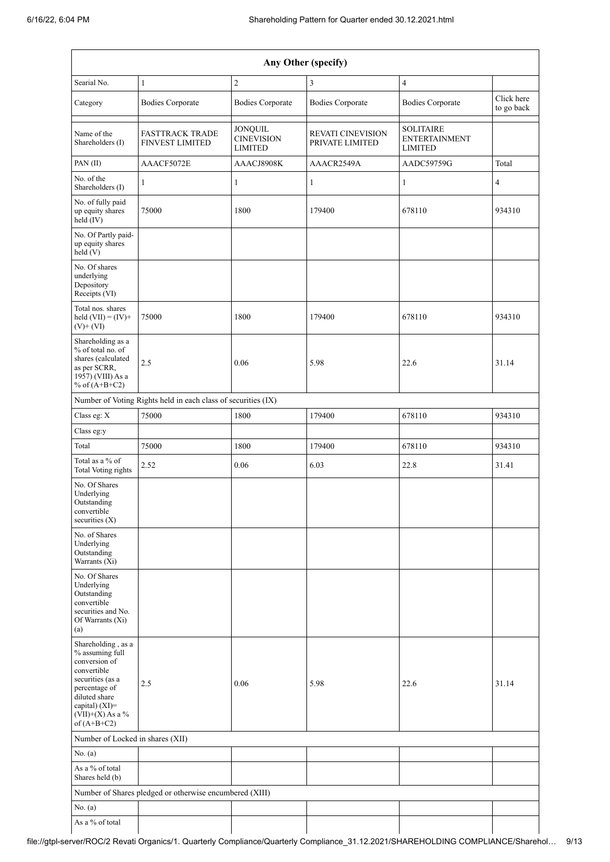| Any Other (specify)                                                                                                                                                                  |                                                               |                                                       |                                             |                                                            |                          |  |  |  |  |
|--------------------------------------------------------------------------------------------------------------------------------------------------------------------------------------|---------------------------------------------------------------|-------------------------------------------------------|---------------------------------------------|------------------------------------------------------------|--------------------------|--|--|--|--|
| Searial No.                                                                                                                                                                          | $\mathbf{1}$                                                  | $\sqrt{2}$                                            | 3                                           | $\overline{4}$                                             |                          |  |  |  |  |
| Category                                                                                                                                                                             | <b>Bodies Corporate</b>                                       | <b>Bodies Corporate</b>                               | <b>Bodies Corporate</b>                     | <b>Bodies Corporate</b>                                    | Click here<br>to go back |  |  |  |  |
| Name of the<br>Shareholders (I)                                                                                                                                                      | <b>FASTTRACK TRADE</b><br><b>FINVEST LIMITED</b>              | <b>JONQUIL</b><br><b>CINEVISION</b><br><b>LIMITED</b> | <b>REVATI CINEVISION</b><br>PRIVATE LIMITED | <b>SOLITAIRE</b><br><b>ENTERTAINMENT</b><br><b>LIMITED</b> |                          |  |  |  |  |
| PAN(II)                                                                                                                                                                              | AAACF5072E                                                    | AAACJ8908K                                            | AAACR2549A                                  | AADC59759G                                                 | Total                    |  |  |  |  |
| No. of the<br>Shareholders (I)                                                                                                                                                       | 1                                                             | 1                                                     | $\mathbf{1}$                                | $\mathbf{1}$                                               | $\overline{4}$           |  |  |  |  |
| No. of fully paid<br>up equity shares<br>$held$ $(V)$                                                                                                                                | 75000                                                         | 1800                                                  | 179400                                      | 678110                                                     | 934310                   |  |  |  |  |
| No. Of Partly paid-<br>up equity shares<br>held (V)                                                                                                                                  |                                                               |                                                       |                                             |                                                            |                          |  |  |  |  |
| No. Of shares<br>underlying<br>Depository<br>Receipts (VI)                                                                                                                           |                                                               |                                                       |                                             |                                                            |                          |  |  |  |  |
| Total nos. shares<br>held $(VII) = (IV) +$<br>$(V)$ + $(VI)$                                                                                                                         | 75000                                                         | 1800                                                  | 179400                                      | 678110                                                     | 934310                   |  |  |  |  |
| Shareholding as a<br>% of total no. of<br>shares (calculated<br>as per SCRR,<br>1957) (VIII) As a<br>% of $(A+B+C2)$                                                                 | 2.5                                                           | 0.06                                                  | 5.98                                        | 22.6                                                       | 31.14                    |  |  |  |  |
|                                                                                                                                                                                      | Number of Voting Rights held in each class of securities (IX) |                                                       |                                             |                                                            |                          |  |  |  |  |
| Class eg: X                                                                                                                                                                          | 75000                                                         | 1800                                                  | 179400                                      | 678110                                                     | 934310                   |  |  |  |  |
| Class eg:y                                                                                                                                                                           |                                                               |                                                       |                                             |                                                            |                          |  |  |  |  |
| Total                                                                                                                                                                                | 75000                                                         | 1800                                                  | 179400                                      | 678110                                                     | 934310                   |  |  |  |  |
| Total as a $\%$ of<br><b>Total Voting rights</b>                                                                                                                                     | 2.52                                                          | 0.06                                                  | 6.03                                        | 22.8                                                       | 31.41                    |  |  |  |  |
| No. Of Shares<br>Underlying<br>Outstanding<br>convertible<br>securities $(X)$                                                                                                        |                                                               |                                                       |                                             |                                                            |                          |  |  |  |  |
| No. of Shares<br>Underlying<br>Outstanding<br>Warrants (Xi)                                                                                                                          |                                                               |                                                       |                                             |                                                            |                          |  |  |  |  |
| No. Of Shares<br>Underlying<br>Outstanding<br>convertible<br>securities and No.<br>Of Warrants (Xi)<br>(a)                                                                           |                                                               |                                                       |                                             |                                                            |                          |  |  |  |  |
| Shareholding, as a<br>% assuming full<br>conversion of<br>convertible<br>securities (as a<br>percentage of<br>diluted share<br>capital) (XI)=<br>$(VII)+(X)$ As a %<br>of $(A+B+C2)$ | 2.5                                                           | 0.06                                                  | 5.98                                        | 22.6                                                       | 31.14                    |  |  |  |  |
| Number of Locked in shares (XII)                                                                                                                                                     |                                                               |                                                       |                                             |                                                            |                          |  |  |  |  |
| No. (a)                                                                                                                                                                              |                                                               |                                                       |                                             |                                                            |                          |  |  |  |  |
| As a % of total<br>Shares held (b)                                                                                                                                                   |                                                               |                                                       |                                             |                                                            |                          |  |  |  |  |
|                                                                                                                                                                                      | Number of Shares pledged or otherwise encumbered (XIII)       |                                                       |                                             |                                                            |                          |  |  |  |  |
| No. (a)                                                                                                                                                                              |                                                               |                                                       |                                             |                                                            |                          |  |  |  |  |
| As a $\%$ of total                                                                                                                                                                   |                                                               |                                                       |                                             |                                                            |                          |  |  |  |  |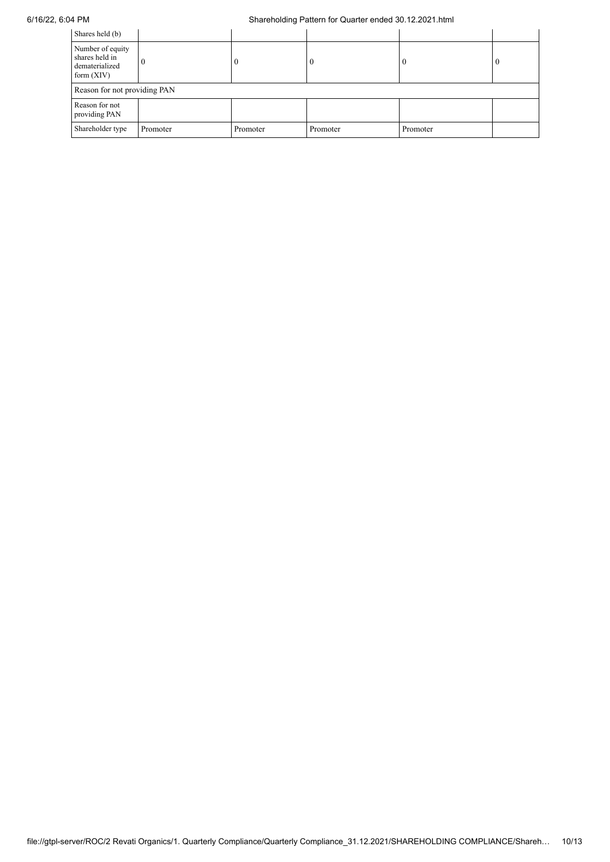| Shares held (b)                                                      |          |          |          |          |              |  |  |
|----------------------------------------------------------------------|----------|----------|----------|----------|--------------|--|--|
| Number of equity<br>shares held in<br>dematerialized<br>form $(XIV)$ | $\theta$ | 0        | $\theta$ |          | $\mathbf{0}$ |  |  |
| Reason for not providing PAN                                         |          |          |          |          |              |  |  |
| Reason for not<br>providing PAN                                      |          |          |          |          |              |  |  |
| Shareholder type                                                     | Promoter | Promoter | Promoter | Promoter |              |  |  |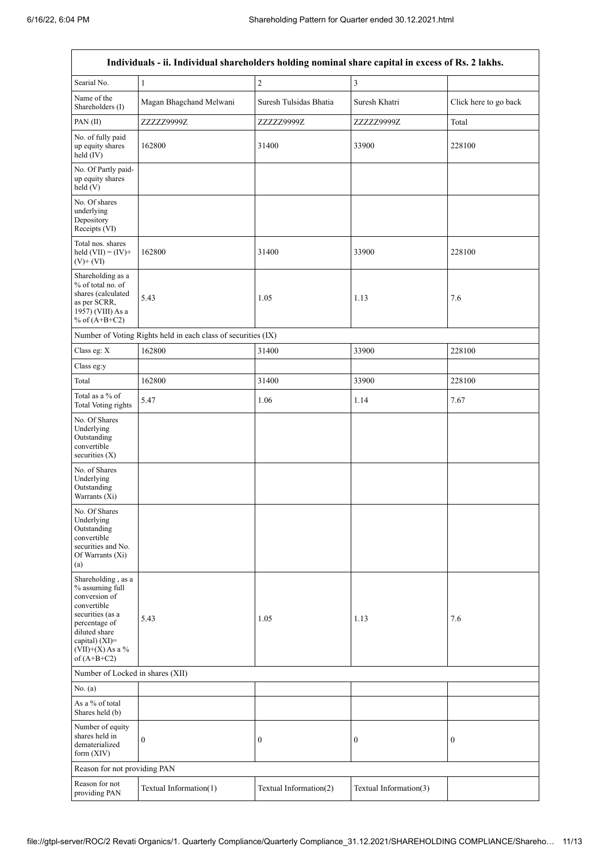$\overline{1}$ 

٦

|                                                                                                                                                                                      | Individuals - ii. Individual shareholders holding nominal share capital in excess of Rs. 2 lakhs. |                        |                        |                       |  |  |  |
|--------------------------------------------------------------------------------------------------------------------------------------------------------------------------------------|---------------------------------------------------------------------------------------------------|------------------------|------------------------|-----------------------|--|--|--|
| Searial No.                                                                                                                                                                          | $\mathbf{1}$                                                                                      | $\overline{2}$         | 3                      |                       |  |  |  |
| Name of the<br>Shareholders (I)                                                                                                                                                      | Magan Bhagchand Melwani                                                                           | Suresh Tulsidas Bhatia | Suresh Khatri          | Click here to go back |  |  |  |
| PAN(II)                                                                                                                                                                              | ZZZZZ9999Z                                                                                        | ZZZZZ9999Z             | ZZZZZ9999Z             | Total                 |  |  |  |
| No. of fully paid<br>up equity shares<br>held (IV)                                                                                                                                   | 162800                                                                                            | 31400                  | 33900                  | 228100                |  |  |  |
| No. Of Partly paid-<br>up equity shares<br>held(V)                                                                                                                                   |                                                                                                   |                        |                        |                       |  |  |  |
| No. Of shares<br>underlying<br>Depository<br>Receipts (VI)                                                                                                                           |                                                                                                   |                        |                        |                       |  |  |  |
| Total nos. shares<br>held $(VII) = (IV) +$<br>$(V)$ + $(VI)$                                                                                                                         | 162800                                                                                            | 31400                  | 33900                  | 228100                |  |  |  |
| Shareholding as a<br>% of total no. of<br>shares (calculated<br>as per SCRR,<br>1957) (VIII) As a<br>% of $(A+B+C2)$                                                                 | 5.43                                                                                              | 1.05                   | 1.13                   | 7.6                   |  |  |  |
|                                                                                                                                                                                      | Number of Voting Rights held in each class of securities (IX)                                     |                        |                        |                       |  |  |  |
| Class eg: X                                                                                                                                                                          | 162800                                                                                            | 31400                  | 33900                  | 228100                |  |  |  |
| Class eg:y                                                                                                                                                                           |                                                                                                   |                        |                        |                       |  |  |  |
| Total                                                                                                                                                                                | 162800                                                                                            | 31400                  | 33900                  | 228100                |  |  |  |
| Total as a % of<br>Total Voting rights                                                                                                                                               | 5.47                                                                                              | 1.06                   | 1.14                   | 7.67                  |  |  |  |
| No. Of Shares<br>Underlying<br>Outstanding<br>convertible<br>securities (X)                                                                                                          |                                                                                                   |                        |                        |                       |  |  |  |
| No. of Shares<br>Underlying<br>Outstanding<br>Warrants (Xi)                                                                                                                          |                                                                                                   |                        |                        |                       |  |  |  |
| No. Of Shares<br>Underlying<br>Outstanding<br>convertible<br>securities and No.<br>Of Warrants (Xi)<br>(a)                                                                           |                                                                                                   |                        |                        |                       |  |  |  |
| Shareholding, as a<br>% assuming full<br>conversion of<br>convertible<br>securities (as a<br>percentage of<br>diluted share<br>capital) (XI)=<br>$(VII)+(X)$ As a %<br>of $(A+B+C2)$ | 5.43                                                                                              | 1.05                   | 1.13                   | 7.6                   |  |  |  |
| Number of Locked in shares (XII)                                                                                                                                                     |                                                                                                   |                        |                        |                       |  |  |  |
| No. (a)                                                                                                                                                                              |                                                                                                   |                        |                        |                       |  |  |  |
| As a % of total<br>Shares held (b)                                                                                                                                                   |                                                                                                   |                        |                        |                       |  |  |  |
| Number of equity<br>shares held in<br>dematerialized<br>form (XIV)                                                                                                                   | $\boldsymbol{0}$                                                                                  | $\boldsymbol{0}$       | $\boldsymbol{0}$       | 0                     |  |  |  |
|                                                                                                                                                                                      | Reason for not providing PAN                                                                      |                        |                        |                       |  |  |  |
| Reason for not<br>providing PAN                                                                                                                                                      | Textual Information(1)                                                                            | Textual Information(2) | Textual Information(3) |                       |  |  |  |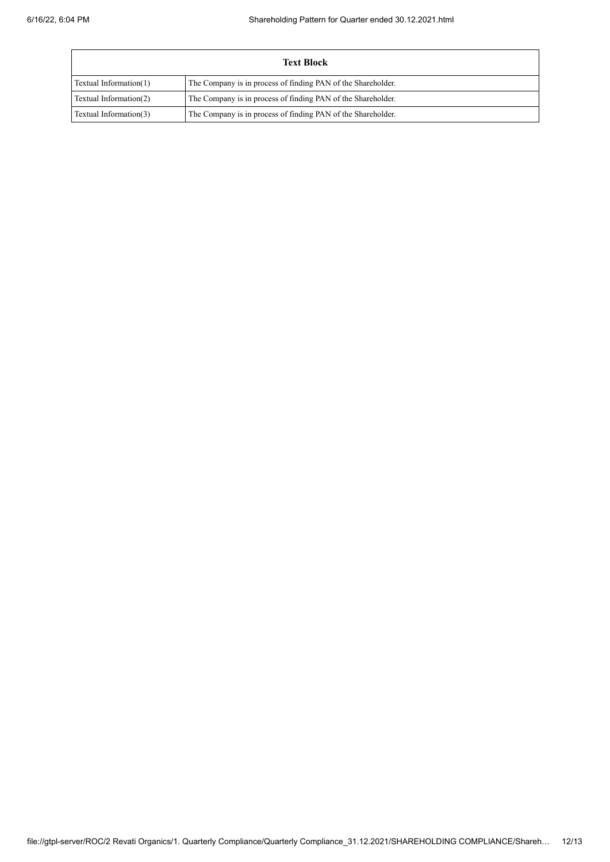| <b>Text Block</b>      |                                                              |  |  |  |  |  |
|------------------------|--------------------------------------------------------------|--|--|--|--|--|
| Textual Information(1) | The Company is in process of finding PAN of the Shareholder. |  |  |  |  |  |
| Textual Information(2) | The Company is in process of finding PAN of the Shareholder. |  |  |  |  |  |
| Textual Information(3) | The Company is in process of finding PAN of the Shareholder. |  |  |  |  |  |